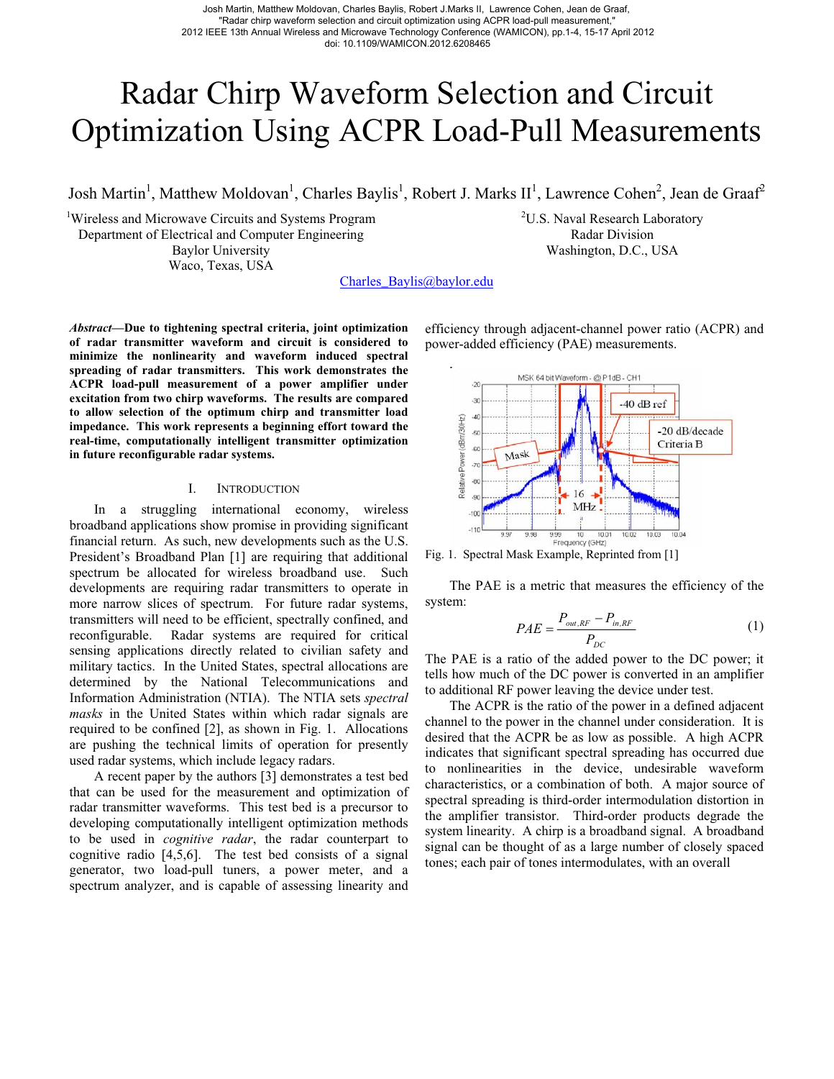Josh Martin, Matthew Moldovan, Charles Baylis, Robert J.Marks II, Lawrence Cohen, Jean de Graaf, "Radar chirp waveform selection and circuit optimization using ACPR load-pull measurement," 2012 IEEE 13th Annual Wireless and Microwave Technology Conference (WAMICON), pp.1-4, 15-17 April 2012 doi: 10.1109/WAMICON.2012.6208465

# Radar Chirp Waveform Selection and Circuit Optimization Using ACPR Load-Pull Measurements

Josh Martin<sup>1</sup>, Matthew Moldovan<sup>1</sup>, Charles Baylis<sup>1</sup>, Robert J. Marks II<sup>1</sup>, Lawrence Cohen<sup>2</sup>, Jean de Graaf<sup>2</sup>

<sup>1</sup>Wireless and Microwave Circuits and Systems Program Department of Electrical and Computer Engineering Baylor University Waco, Texas, USA

<sup>2</sup>U.S. Naval Research Laboratory Radar Division Washington, D.C., USA

Charles\_Baylis@baylor.edu

*Abstract***—Due to tightening spectral criteria, joint optimization of radar transmitter waveform and circuit is considered to minimize the nonlinearity and waveform induced spectral spreading of radar transmitters. This work demonstrates the ACPR load-pull measurement of a power amplifier under excitation from two chirp waveforms. The results are compared to allow selection of the optimum chirp and transmitter load impedance. This work represents a beginning effort toward the real-time, computationally intelligent transmitter optimization in future reconfigurable radar systems.** 

## I. INTRODUCTION

In a struggling international economy, wireless broadband applications show promise in providing significant financial return. As such, new developments such as the U.S. President's Broadband Plan [1] are requiring that additional spectrum be allocated for wireless broadband use. Such developments are requiring radar transmitters to operate in more narrow slices of spectrum. For future radar systems, transmitters will need to be efficient, spectrally confined, and reconfigurable. Radar systems are required for critical sensing applications directly related to civilian safety and military tactics. In the United States, spectral allocations are determined by the National Telecommunications and Information Administration (NTIA). The NTIA sets *spectral masks* in the United States within which radar signals are required to be confined [2], as shown in Fig. 1. Allocations are pushing the technical limits of operation for presently used radar systems, which include legacy radars.

A recent paper by the authors [3] demonstrates a test bed that can be used for the measurement and optimization of radar transmitter waveforms. This test bed is a precursor to developing computationally intelligent optimization methods to be used in *cognitive radar*, the radar counterpart to cognitive radio [4,5,6]. The test bed consists of a signal generator, two load-pull tuners, a power meter, and a spectrum analyzer, and is capable of assessing linearity and

efficiency through adjacent-channel power ratio (ACPR) and power-added efficiency (PAE) measurements.



Fig. 1. Spectral Mask Example, Reprinted from [1]

The PAE is a metric that measures the efficiency of the system:

$$
PAE = \frac{P_{out,RF} - P_{in,RF}}{P_{DC}}
$$
 (1)

The PAE is a ratio of the added power to the DC power; it tells how much of the DC power is converted in an amplifier to additional RF power leaving the device under test.

The ACPR is the ratio of the power in a defined adjacent channel to the power in the channel under consideration. It is desired that the ACPR be as low as possible. A high ACPR indicates that significant spectral spreading has occurred due to nonlinearities in the device, undesirable waveform characteristics, or a combination of both. A major source of spectral spreading is third-order intermodulation distortion in the amplifier transistor. Third-order products degrade the system linearity. A chirp is a broadband signal. A broadband signal can be thought of as a large number of closely spaced tones; each pair of tones intermodulates, with an overall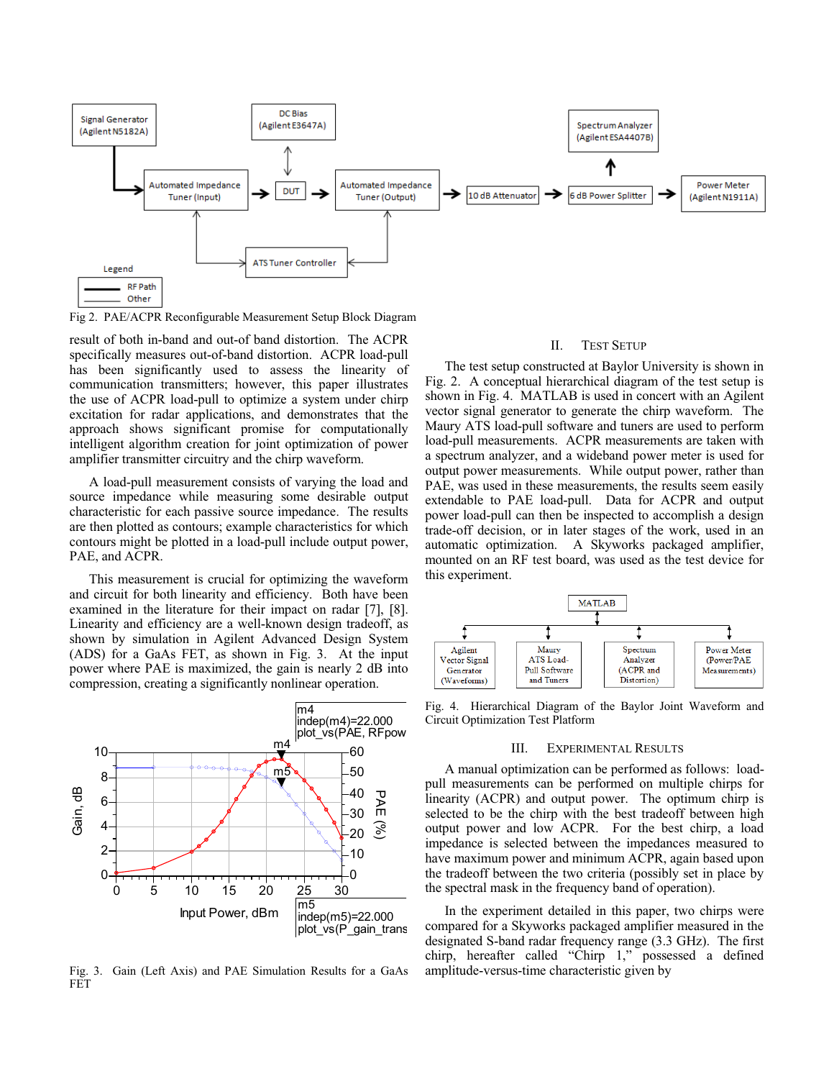

Fig 2. PAE/ACPR Reconfigurable Measurement Setup Block Diagram

result of both in-band and out-of band distortion. The ACPR specifically measures out-of-band distortion. ACPR load-pull has been significantly used to assess the linearity of communication transmitters; however, this paper illustrates the use of ACPR load-pull to optimize a system under chirp excitation for radar applications, and demonstrates that the approach shows significant promise for computationally intelligent algorithm creation for joint optimization of power amplifier transmitter circuitry and the chirp waveform.

A load-pull measurement consists of varying the load and source impedance while measuring some desirable output characteristic for each passive source impedance. The results are then plotted as contours; example characteristics for which contours might be plotted in a load-pull include output power, PAE, and ACPR.

This measurement is crucial for optimizing the waveform and circuit for both linearity and efficiency. Both have been examined in the literature for their impact on radar [7], [8]. Linearity and efficiency are a well-known design tradeoff, as shown by simulation in Agilent Advanced Design System (ADS) for a GaAs FET, as shown in Fig. 3. At the input power where PAE is maximized, the gain is nearly 2 dB into compression, creating a significantly nonlinear operation.



Fig. 3. Gain (Left Axis) and PAE Simulation Results for a GaAs FET

## II. TEST SETUP

The test setup constructed at Baylor University is shown in Fig. 2. A conceptual hierarchical diagram of the test setup is shown in Fig. 4. MATLAB is used in concert with an Agilent vector signal generator to generate the chirp waveform. The Maury ATS load-pull software and tuners are used to perform load-pull measurements. ACPR measurements are taken with a spectrum analyzer, and a wideband power meter is used for output power measurements. While output power, rather than PAE, was used in these measurements, the results seem easily extendable to PAE load-pull. Data for ACPR and output power load-pull can then be inspected to accomplish a design trade-off decision, or in later stages of the work, used in an automatic optimization. A Skyworks packaged amplifier, mounted on an RF test board, was used as the test device for this experiment.



Fig. 4. Hierarchical Diagram of the Baylor Joint Waveform and Circuit Optimization Test Platform

## III. EXPERIMENTAL RESULTS

A manual optimization can be performed as follows: loadpull measurements can be performed on multiple chirps for linearity (ACPR) and output power. The optimum chirp is selected to be the chirp with the best tradeoff between high output power and low ACPR. For the best chirp, a load impedance is selected between the impedances measured to have maximum power and minimum ACPR, again based upon the tradeoff between the two criteria (possibly set in place by the spectral mask in the frequency band of operation).

In the experiment detailed in this paper, two chirps were compared for a Skyworks packaged amplifier measured in the designated S-band radar frequency range (3.3 GHz). The first chirp, hereafter called "Chirp 1," possessed a defined amplitude-versus-time characteristic given by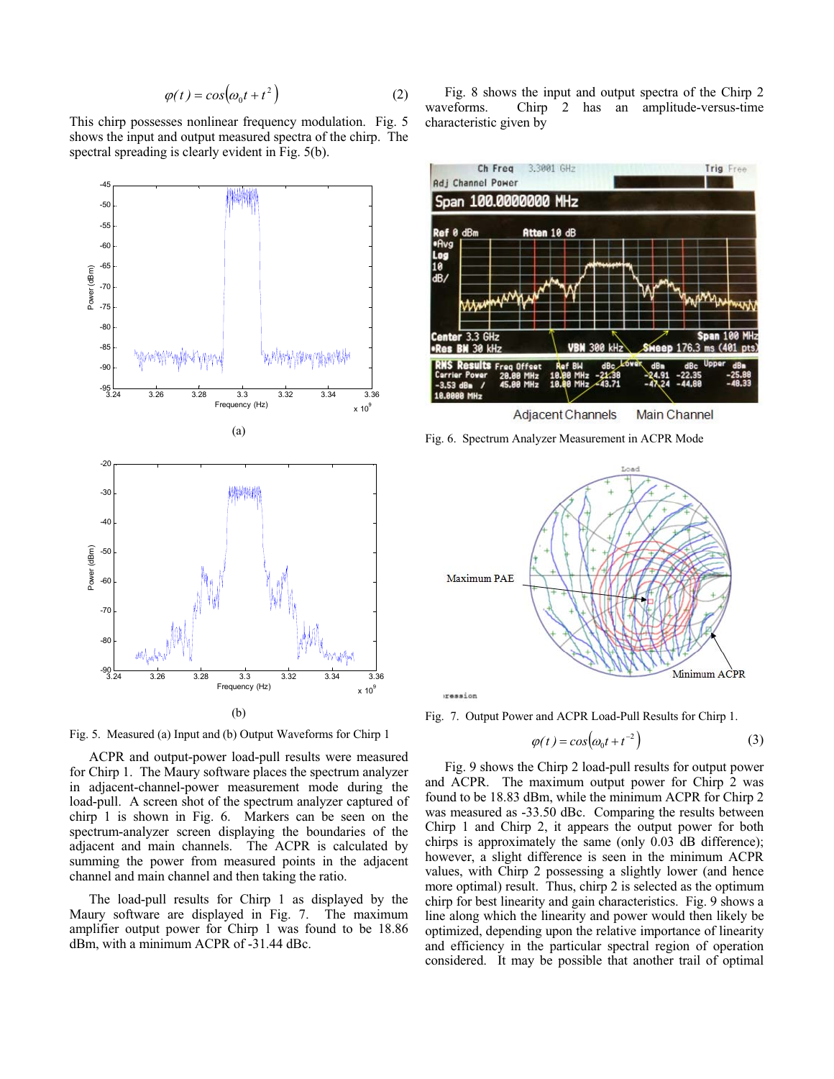$$
\varphi(t) = \cos(\omega_0 t + t^2) \tag{2}
$$

This chirp possesses nonlinear frequency modulation. Fig. 5 shows the input and output measured spectra of the chirp. The spectral spreading is clearly evident in Fig. 5(b).



Fig. 5. Measured (a) Input and (b) Output Waveforms for Chirp 1

ACPR and output-power load-pull results were measured for Chirp 1. The Maury software places the spectrum analyzer in adjacent-channel-power measurement mode during the load-pull. A screen shot of the spectrum analyzer captured of chirp 1 is shown in Fig. 6. Markers can be seen on the spectrum-analyzer screen displaying the boundaries of the adjacent and main channels. The ACPR is calculated by summing the power from measured points in the adjacent channel and main channel and then taking the ratio.

The load-pull results for Chirp 1 as displayed by the Maury software are displayed in Fig. 7. The maximum amplifier output power for Chirp 1 was found to be 18.86 dBm, with a minimum ACPR of -31.44 dBc.

Fig. 8 shows the input and output spectra of the Chirp 2 waveforms. Chirp 2 has an amplitude-versus-time characteristic given by



**Adjacent Channels Main Channel** 

Fig. 6. Spectrum Analyzer Measurement in ACPR Mode



ression

Fig. 7. Output Power and ACPR Load-Pull Results for Chirp 1.

$$
\varphi(t) = \cos(\omega_0 t + t^{-2})\tag{3}
$$

Fig. 9 shows the Chirp 2 load-pull results for output power and ACPR. The maximum output power for Chirp 2 was found to be 18.83 dBm, while the minimum ACPR for Chirp 2 was measured as -33.50 dBc. Comparing the results between Chirp 1 and Chirp 2, it appears the output power for both chirps is approximately the same (only 0.03 dB difference); however, a slight difference is seen in the minimum ACPR values, with Chirp 2 possessing a slightly lower (and hence more optimal) result. Thus, chirp 2 is selected as the optimum chirp for best linearity and gain characteristics. Fig. 9 shows a line along which the linearity and power would then likely be optimized, depending upon the relative importance of linearity and efficiency in the particular spectral region of operation considered. It may be possible that another trail of optimal